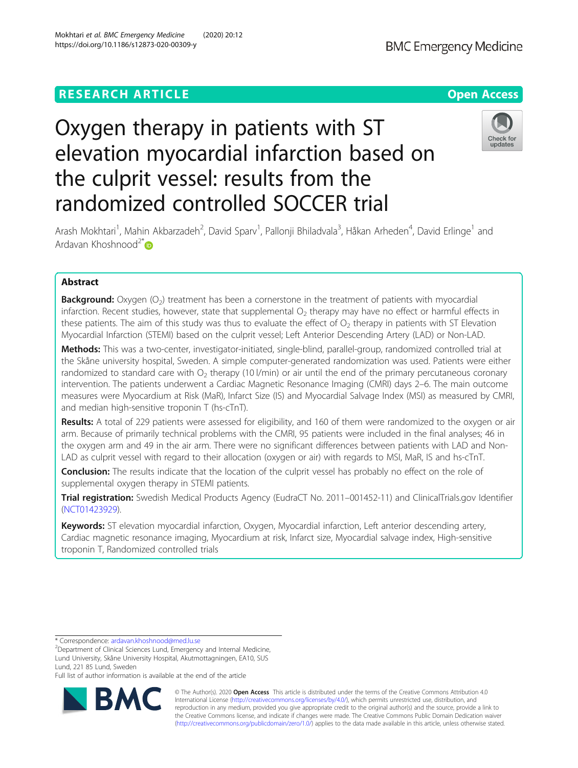## **RESEARCH ARTICLE Example 2014 12:30 The Contract of Contract ACCESS**

# Oxygen therapy in patients with ST elevation myocardial infarction based on the culprit vessel: results from the randomized controlled SOCCER trial

Arash Mokhtari<sup>1</sup>, Mahin Akbarzadeh<sup>2</sup>, David Sparv<sup>1</sup>, Pallonji Bhiladvala<sup>3</sup>, Håkan Arheden<sup>4</sup>, David Erlinge<sup>1</sup> and Ardavan Khoshnood $2^*$ D

## Abstract

**Background:** Oxygen (O<sub>2</sub>) treatment has been a cornerstone in the treatment of patients with myocardial infarction. Recent studies, however, state that supplemental  $\rm O_2$  therapy may have no effect or harmful effects in these patients. The aim of this study was thus to evaluate the effect of  $\rm O_2$  therapy in patients with ST Elevation Myocardial Infarction (STEMI) based on the culprit vessel; Left Anterior Descending Artery (LAD) or Non-LAD.

Methods: This was a two-center, investigator-initiated, single-blind, parallel-group, randomized controlled trial at the Skåne university hospital, Sweden. A simple computer-generated randomization was used. Patients were either randomized to standard care with  $\mathrm{O}_2$  therapy (10 l/min) or air until the end of the primary percutaneous coronary intervention. The patients underwent a Cardiac Magnetic Resonance Imaging (CMRI) days 2–6. The main outcome measures were Myocardium at Risk (MaR), Infarct Size (IS) and Myocardial Salvage Index (MSI) as measured by CMRI, and median high-sensitive troponin T (hs-cTnT).

Results: A total of 229 patients were assessed for eligibility, and 160 of them were randomized to the oxygen or air arm. Because of primarily technical problems with the CMRI, 95 patients were included in the final analyses; 46 in the oxygen arm and 49 in the air arm. There were no significant differences between patients with LAD and Non-LAD as culprit vessel with regard to their allocation (oxygen or air) with regards to MSI, MaR, IS and hs-cTnT.

Conclusion: The results indicate that the location of the culprit vessel has probably no effect on the role of supplemental oxygen therapy in STEMI patients.

Trial registration: Swedish Medical Products Agency (EudraCT No. 2011-001452-11) and ClinicalTrials.gov Identifier ([NCT01423929\)](https://clinicaltrials.gov/ct2/show/NCT01423929).

Keywords: ST elevation myocardial infarction, Oxygen, Myocardial infarction, Left anterior descending artery, Cardiac magnetic resonance imaging, Myocardium at risk, Infarct size, Myocardial salvage index, High-sensitive troponin T, Randomized controlled trials

\* Correspondence: [ardavan.khoshnood@med.lu.se](mailto:ardavan.khoshnood@med.lu.se)

<sup>2</sup>Department of Clinical Sciences Lund, Emergency and Internal Medicine, Lund University, Skåne University Hospital, Akutmottagningen, EA10, SUS Lund, 221 85 Lund, Sweden

Full list of author information is available at the end of the article



© The Author(s). 2020 Open Access This article is distributed under the terms of the Creative Commons Attribution 4.0 International License [\(http://creativecommons.org/licenses/by/4.0/](http://creativecommons.org/licenses/by/4.0/)), which permits unrestricted use, distribution, and reproduction in any medium, provided you give appropriate credit to the original author(s) and the source, provide a link to the Creative Commons license, and indicate if changes were made. The Creative Commons Public Domain Dedication waiver [\(http://creativecommons.org/publicdomain/zero/1.0/](http://creativecommons.org/publicdomain/zero/1.0/)) applies to the data made available in this article, unless otherwise stated.



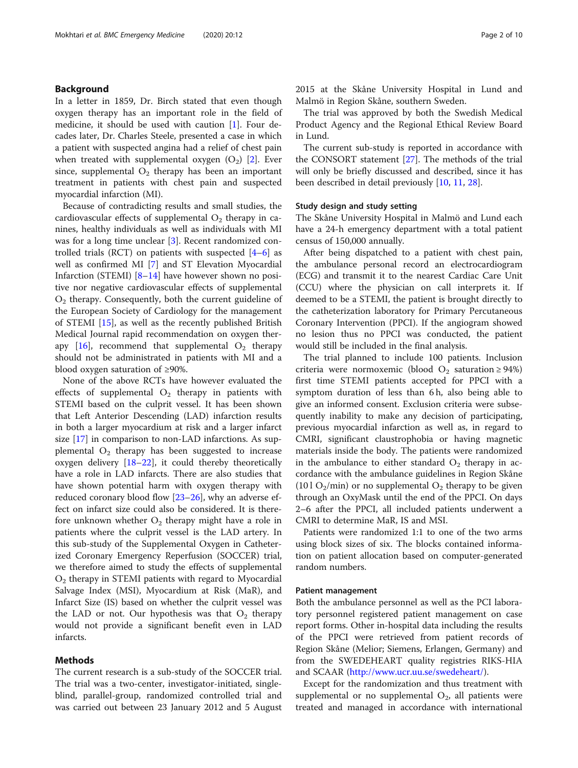## Background

In a letter in 1859, Dr. Birch stated that even though oxygen therapy has an important role in the field of medicine, it should be used with caution  $[1]$  $[1]$ . Four decades later, Dr. Charles Steele, presented a case in which a patient with suspected angina had a relief of chest pain when treated with supplemental oxygen  $(O_2)$  [\[2](#page-7-0)]. Ever since, supplemental  $O_2$  therapy has been an important treatment in patients with chest pain and suspected myocardial infarction (MI).

Because of contradicting results and small studies, the cardiovascular effects of supplemental  $O_2$  therapy in canines, healthy individuals as well as individuals with MI was for a long time unclear [\[3](#page-7-0)]. Recent randomized controlled trials (RCT) on patients with suspected  $[4-6]$  $[4-6]$  $[4-6]$  $[4-6]$  $[4-6]$  as well as confirmed MI [[7](#page-7-0)] and ST Elevation Myocardial Infarction (STEMI)  $[8-14]$  $[8-14]$  $[8-14]$  $[8-14]$  $[8-14]$  have however shown no positive nor negative cardiovascular effects of supplemental  $O<sub>2</sub>$  therapy. Consequently, both the current guideline of the European Society of Cardiology for the management of STEMI [[15\]](#page-8-0), as well as the recently published British Medical Journal rapid recommendation on oxygen ther-apy [[16](#page-8-0)], recommend that supplemental  $O_2$  therapy should not be administrated in patients with MI and a blood oxygen saturation of ≥90%.

None of the above RCTs have however evaluated the effects of supplemental  $O_2$  therapy in patients with STEMI based on the culprit vessel. It has been shown that Left Anterior Descending (LAD) infarction results in both a larger myocardium at risk and a larger infarct size [\[17\]](#page-8-0) in comparison to non-LAD infarctions. As supplemental  $\mathrm{O}_2$  therapy has been suggested to increase oxygen delivery  $[18–22]$  $[18–22]$  $[18–22]$  $[18–22]$  $[18–22]$ , it could thereby theoretically have a role in LAD infarcts. There are also studies that have shown potential harm with oxygen therapy with reduced coronary blood flow [[23](#page-8-0)–[26](#page-8-0)], why an adverse effect on infarct size could also be considered. It is therefore unknown whether  $\mathrm{O}_2$  therapy might have a role in patients where the culprit vessel is the LAD artery. In this sub-study of the Supplemental Oxygen in Catheterized Coronary Emergency Reperfusion (SOCCER) trial, we therefore aimed to study the effects of supplemental  $\mathrm{O}_2$  therapy in STEMI patients with regard to Myocardial Salvage Index (MSI), Myocardium at Risk (MaR), and Infarct Size (IS) based on whether the culprit vessel was the LAD or not. Our hypothesis was that  $O_2$  therapy would not provide a significant benefit even in LAD infarcts.

## Methods

The current research is a sub-study of the SOCCER trial. The trial was a two-center, investigator-initiated, singleblind, parallel-group, randomized controlled trial and was carried out between 23 January 2012 and 5 August 2015 at the Skåne University Hospital in Lund and Malmö in Region Skåne, southern Sweden.

The trial was approved by both the Swedish Medical Product Agency and the Regional Ethical Review Board in Lund.

The current sub-study is reported in accordance with the CONSORT statement [[27\]](#page-8-0). The methods of the trial will only be briefly discussed and described, since it has been described in detail previously [\[10](#page-7-0), [11](#page-7-0), [28](#page-8-0)].

## Study design and study setting

The Skåne University Hospital in Malmö and Lund each have a 24-h emergency department with a total patient census of 150,000 annually.

After being dispatched to a patient with chest pain, the ambulance personal record an electrocardiogram (ECG) and transmit it to the nearest Cardiac Care Unit (CCU) where the physician on call interprets it. If deemed to be a STEMI, the patient is brought directly to the catheterization laboratory for Primary Percutaneous Coronary Intervention (PPCI). If the angiogram showed no lesion thus no PPCI was conducted, the patient would still be included in the final analysis.

The trial planned to include 100 patients. Inclusion criteria were normoxemic (blood  $O_2$  saturation ≥ 94%) first time STEMI patients accepted for PPCI with a symptom duration of less than 6 h, also being able to give an informed consent. Exclusion criteria were subsequently inability to make any decision of participating, previous myocardial infarction as well as, in regard to CMRI, significant claustrophobia or having magnetic materials inside the body. The patients were randomized in the ambulance to either standard  $O_2$  therapy in accordance with the ambulance guidelines in Region Skåne (10 l  $O_2$ /min) or no supplemental  $O_2$  therapy to be given through an OxyMask until the end of the PPCI. On days 2–6 after the PPCI, all included patients underwent a CMRI to determine MaR, IS and MSI.

Patients were randomized 1:1 to one of the two arms using block sizes of six. The blocks contained information on patient allocation based on computer-generated random numbers.

#### Patient management

Both the ambulance personnel as well as the PCI laboratory personnel registered patient management on case report forms. Other in-hospital data including the results of the PPCI were retrieved from patient records of Region Skåne (Melior; Siemens, Erlangen, Germany) and from the SWEDEHEART quality registries RIKS-HIA and SCAAR [\(http://www.ucr.uu.se/swedeheart/\)](http://www.ucr.uu.se/swedeheart/).

Except for the randomization and thus treatment with supplemental or no supplemental  $O_2$ , all patients were treated and managed in accordance with international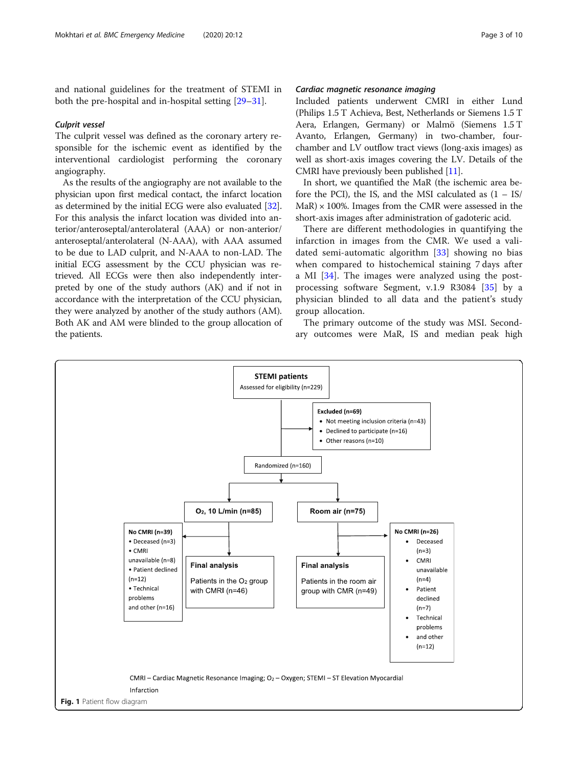<span id="page-2-0"></span>and national guidelines for the treatment of STEMI in both the pre-hospital and in-hospital setting [[29](#page-8-0)–[31\]](#page-8-0).

## Culprit vessel

The culprit vessel was defined as the coronary artery responsible for the ischemic event as identified by the interventional cardiologist performing the coronary angiography.

As the results of the angiography are not available to the physician upon first medical contact, the infarct location as determined by the initial ECG were also evaluated [[32](#page-8-0)]. For this analysis the infarct location was divided into anterior/anteroseptal/anterolateral (AAA) or non-anterior/ anteroseptal/anterolateral (N-AAA), with AAA assumed to be due to LAD culprit, and N-AAA to non-LAD. The initial ECG assessment by the CCU physician was retrieved. All ECGs were then also independently interpreted by one of the study authors (AK) and if not in accordance with the interpretation of the CCU physician, they were analyzed by another of the study authors (AM). Both AK and AM were blinded to the group allocation of the patients.

## Cardiac magnetic resonance imaging

Included patients underwent CMRI in either Lund (Philips 1.5 T Achieva, Best, Netherlands or Siemens 1.5 T Aera, Erlangen, Germany) or Malmö (Siemens 1.5 T Avanto, Erlangen, Germany) in two-chamber, fourchamber and LV outflow tract views (long-axis images) as well as short-axis images covering the LV. Details of the CMRI have previously been published [\[11\]](#page-7-0).

In short, we quantified the MaR (the ischemic area before the PCI), the IS, and the MSI calculated as  $(1 - IS/$  $MaR$ )  $\times$  100%. Images from the CMR were assessed in the short-axis images after administration of gadoteric acid.

There are different methodologies in quantifying the infarction in images from the CMR. We used a validated semi-automatic algorithm  $[33]$  $[33]$  showing no bias when compared to histochemical staining 7 days after a MI [\[34](#page-8-0)]. The images were analyzed using the postprocessing software Segment, v.1.9 R3084 [[35](#page-8-0)] by a physician blinded to all data and the patient's study group allocation.

The primary outcome of the study was MSI. Secondary outcomes were MaR, IS and median peak high

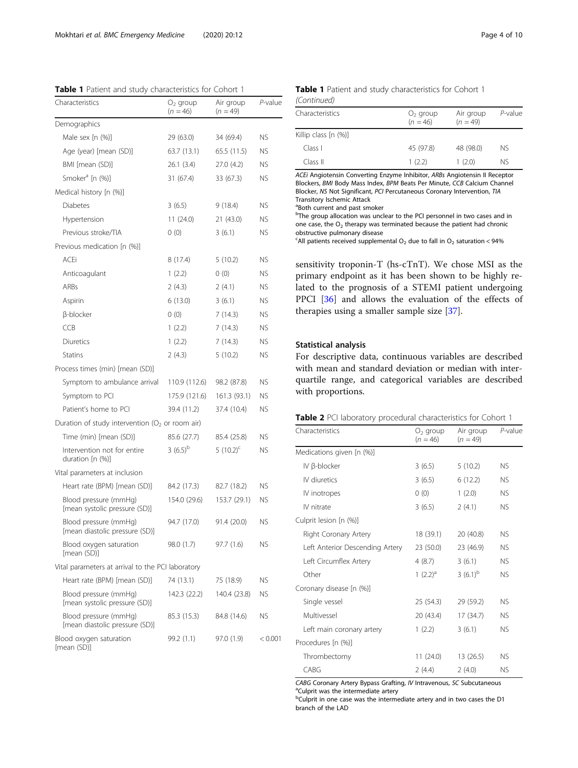<span id="page-3-0"></span>Table 1 Patient and study characteristics for Cohort 1

| Characteristics                                         | $O2$ group<br>$(n = 46)$ | Air group<br>$(n = 49)$ | $P$ -value |  |
|---------------------------------------------------------|--------------------------|-------------------------|------------|--|
| Demographics                                            |                          |                         |            |  |
| Male sex [n (%)]                                        | 29 (63.0)                | 34 (69.4)               | ΝS         |  |
| Age (year) [mean (SD)]                                  | 63.7 (13.1)              | 65.5 (11.5)             | ΝS         |  |
| BMI [mean (SD)]                                         | 26.1(3.4)                | 27.0 (4.2)              | <b>NS</b>  |  |
| Smoker <sup>a</sup> [n (%)]                             | 31 (67.4)                | 33 (67.3)               | ΝS         |  |
| Medical history [n (%)]                                 |                          |                         |            |  |
| <b>Diabetes</b>                                         | 3(6.5)                   | 9(18.4)                 | ΝS         |  |
| Hypertension                                            | 11(24.0)                 | 21(43.0)                | <b>NS</b>  |  |
| Previous stroke/TIA                                     | 0(0)                     | 3(6.1)                  | ΝS         |  |
| Previous medication [n (%)]                             |                          |                         |            |  |
| ACEi                                                    | 8 (17.4)                 | 5(10.2)                 | <b>NS</b>  |  |
| Anticoagulant                                           | 1(2.2)                   | 0(0)                    | <b>NS</b>  |  |
| ARBs                                                    | 2(4.3)                   | 2(4.1)                  | ΝS         |  |
| Aspirin                                                 | 6(13.0)                  | 3(6.1)                  | <b>NS</b>  |  |
| β-blocker                                               | 0(0)                     | 7(14.3)                 | <b>NS</b>  |  |
| CCB                                                     | 1(2.2)                   | 7(14.3)                 | ΝS         |  |
| Diuretics                                               | 1(2.2)                   | 7(14.3)                 | ΝS         |  |
| <b>Statins</b>                                          | 2(4.3)                   | 5(10.2)                 | ΝS         |  |
| Process times (min) [mean (SD)]                         |                          |                         |            |  |
| Symptom to ambulance arrival                            | 110.9 (112.6)            | 98.2 (87.8)             | ΝS         |  |
| Symptom to PCI                                          | 175.9 (121.6)            | 161.3 (93.1)            | <b>NS</b>  |  |
| Patient's home to PCI                                   | 39.4 (11.2)              | 37.4 (10.4)             | ΝS         |  |
| Duration of study intervention ( $O2$ or room air)      |                          |                         |            |  |
| Time (min) [mean (SD)]                                  | 85.6 (27.7)              | 85.4 (25.8)             | ΝS         |  |
| Intervention not for entire<br>duration [n (%)]         | 3 $(6.5)^{b}$            | 5 $(10.2)^{c}$          | ΝS         |  |
| Vital parameters at inclusion                           |                          |                         |            |  |
| Heart rate (BPM) [mean (SD)]                            | 84.2 (17.3)              | 82.7 (18.2)             | ΝS         |  |
| Blood pressure (mmHg)<br>[mean systolic pressure (SD)]  | 154.0 (29.6)             | 153.7 (29.1)            | ΝS         |  |
| Blood pressure (mmHg)<br>[mean diastolic pressure (SD)] | 94.7 (17.0)              | 91.4 (20.0)             | ΝS         |  |
| Blood oxygen saturation<br>[mean (SD)]                  | 98.0 (1.7)               | 97.7 (1.6)              | ΝS         |  |
| Vital parameters at arrival to the PCI laboratory       |                          |                         |            |  |
| Heart rate (BPM) [mean (SD)]                            | 74 (13.1)                | 75 (18.9)               | ΝS         |  |
| Blood pressure (mmHg)<br>[mean systolic pressure (SD)]  | 142.3 (22.2)             | 140.4 (23.8)            | ΝS         |  |
| Blood pressure (mmHg)<br>[mean diastolic pressure (SD)] | 85.3 (15.3)              | 84.8 (14.6)             | ΝS         |  |
| Blood oxygen saturation<br>[mean (SD)]                  | 99.2 (1.1)               | 97.0 (1.9)              | < 0.001    |  |

## Table 1 Patient and study characteristics for Cohort 1 (Continued)

| Characteristics      | $O2$ group<br>$(n = 46)$ | Air group<br>$(n = 49)$ | $P$ -value |
|----------------------|--------------------------|-------------------------|------------|
| Killip class [n (%)] |                          |                         |            |
| Class I              | 45 (97.8)                | 48 (98.0)               | NS.        |
| Class II             | 1(2.2)                   | 1(2.0)                  | NS.        |

ACEi Angiotensin Converting Enzyme Inhibitor, ARBs Angiotensin II Receptor Blockers, BMI Body Mass Index, BPM Beats Per Minute, CCB Calcium Channel Blocker, NS Not Significant, PCI Percutaneous Coronary Intervention, TIA Transitory Ischemic Attack

a Both current and past smoker

<sup>b</sup>The group allocation was unclear to the PCI personnel in two cases and in one case, the  $O<sub>2</sub>$  therapy was terminated because the patient had chronic obstructive pulmonary disease

<sup>c</sup>All patients received supplemental  $O_2$  due to fall in  $O_2$  saturation < 94%

sensitivity troponin-T (hs-cTnT). We chose MSI as the primary endpoint as it has been shown to be highly related to the prognosis of a STEMI patient undergoing PPCI [\[36\]](#page-8-0) and allows the evaluation of the effects of therapies using a smaller sample size [[37\]](#page-8-0).

## Statistical analysis

For descriptive data, continuous variables are described with mean and standard deviation or median with interquartile range, and categorical variables are described with proportions.

| Table 2 PCI laboratory procedural characteristics for Cohort 1 |  |
|----------------------------------------------------------------|--|
|----------------------------------------------------------------|--|

| Characteristics                 | $O2$ group<br>$(n = 46)$ | Air group<br>$(n = 49)$ | P-value   |  |
|---------------------------------|--------------------------|-------------------------|-----------|--|
| Medications given [n (%)]       |                          |                         |           |  |
| IV ß-blocker                    | 3(6.5)                   | 5(10.2)                 | ΝS        |  |
| IV diuretics                    | 3(6.5)                   | 6(12.2)                 | <b>NS</b> |  |
| IV inotropes                    | 0(0)                     | 1(2.0)                  | <b>NS</b> |  |
| IV nitrate                      | 3(6.5)                   | 2(4.1)                  | <b>NS</b> |  |
| Culprit lesion [n (%)]          |                          |                         |           |  |
| Right Coronary Artery           | 18 (39.1)                | 20 (40.8)               | NS.       |  |
| Left Anterior Descending Artery | 23 (50.0)                | 23 (46.9)               | <b>NS</b> |  |
| Left Circumflex Artery          | 4(8.7)                   | 3(6.1)                  | NS.       |  |
| Other                           | 1 $(2.2)^a$              | 3 $(6.1)^b$             | NS.       |  |
| Coronary disease [n (%)]        |                          |                         |           |  |
| Single vessel                   | 25 (54.3)                | 29 (59.2)               | ΝS        |  |
| Multivessel                     | 20 (43.4)                | 17 (34.7)               | <b>NS</b> |  |
| Left main coronary artery       | 1(2.2)                   | 3(6.1)                  | NS.       |  |
| Procedures [n (%)]              |                          |                         |           |  |
| Thrombectomy                    | 11 (24.0)                | 13 (26.5)               | NS.       |  |
| CABG                            | 2(4.4)                   | 2(4.0)                  | NS.       |  |

CABG Coronary Artery Bypass Grafting, IV Intravenous, SC Subcutaneous <sup>a</sup>Culprit was the intermediate artery

<sup>b</sup>Culprit in one case was the intermediate artery and in two cases the D1 branch of the LAD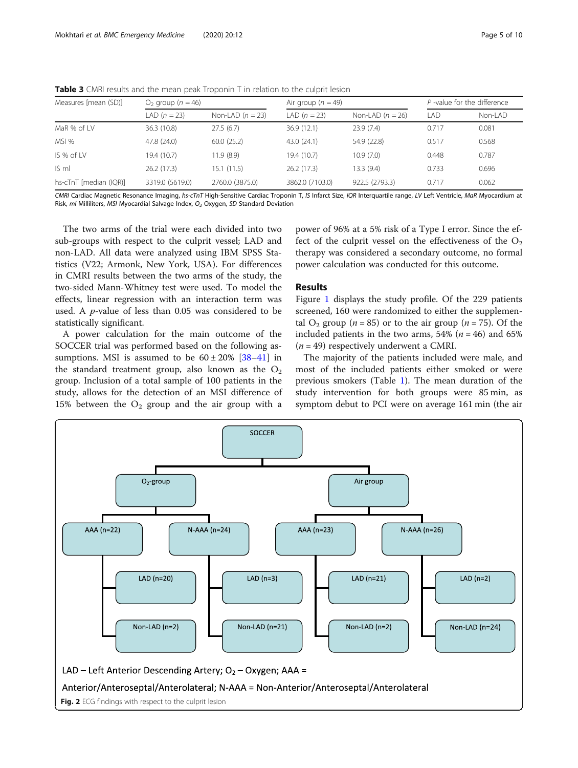| Measures [mean (SD)]   | $O2$ group ( $n = 46$ ) |                    | Air group ( $n = 49$ ) |                    | $P$ -value for the difference |         |
|------------------------|-------------------------|--------------------|------------------------|--------------------|-------------------------------|---------|
|                        | LAD $(n = 23)$          | Non-LAD $(n = 23)$ | LAD $(n = 23)$         | Non-LAD $(n = 26)$ | <b>LAD</b>                    | Non-LAD |
| MaR % of LV            | 36.3 (10.8)             | 27.5(6.7)          | 36.9(12.1)             | 23.9(7.4)          | 0.717                         | 0.081   |
| MSI %                  | 47.8 (24.0)             | 60.0(25.2)         | 43.0 (24.1)            | 54.9 (22.8)        | 0.517                         | 0.568   |
| $IS%$ of $IV$          | 19.4 (10.7)             | 11.9(8.9)          | 19.4 (10.7)            | 10.9(7.0)          | 0.448                         | 0.787   |
| IS <sub>m</sub>        | 26.2(17.3)              | 15.1(11.5)         | 26.2(17.3)             | 13.3(9.4)          | 0.733                         | 0.696   |
| hs-cTnT [median (IQR)] | 3319.0 (5619.0)         | 2760.0 (3875.0)    | 3862.0 (7103.0)        | 922.5 (2793.3)     | 0.717                         | 0.062   |

<span id="page-4-0"></span>Table 3 CMRI results and the mean peak Troponin T in relation to the culprit lesion

CMRI Cardiac Magnetic Resonance Imaging, hs-cTnT High-Sensitive Cardiac Troponin T, IS Infarct Size, IQR Interquartile range, LV Left Ventricle, MaR Myocardium at Risk, ml Milliliters, MSI Myocardial Salvage Index,  $O<sub>2</sub>$  Oxygen, SD Standard Deviation

The two arms of the trial were each divided into two sub-groups with respect to the culprit vessel; LAD and non-LAD. All data were analyzed using IBM SPSS Statistics (V22; Armonk, New York, USA). For differences in CMRI results between the two arms of the study, the two-sided Mann-Whitney test were used. To model the effects, linear regression with an interaction term was used. A p-value of less than 0.05 was considered to be statistically significant.

A power calculation for the main outcome of the SOCCER trial was performed based on the following assumptions. MSI is assumed to be  $60 \pm 20\%$  [\[38](#page-8-0)–[41\]](#page-8-0) in the standard treatment group, also known as the  $O_2$ group. Inclusion of a total sample of 100 patients in the study, allows for the detection of an MSI difference of 15% between the  $O_2$  group and the air group with a

power of 96% at a 5% risk of a Type I error. Since the effect of the culprit vessel on the effectiveness of the  $O_2$ therapy was considered a secondary outcome, no formal power calculation was conducted for this outcome.

## Results

Figure [1](#page-2-0) displays the study profile. Of the 229 patients screened, 160 were randomized to either the supplemental  $O_2$  group (*n* = 85) or to the air group (*n* = 75). Of the included patients in the two arms,  $54\%$  ( $n = 46$ ) and  $65\%$  $(n = 49)$  respectively underwent a CMRI.

The majority of the patients included were male, and most of the included patients either smoked or were previous smokers (Table [1](#page-3-0)). The mean duration of the study intervention for both groups were 85 min, as symptom debut to PCI were on average 161 min (the air

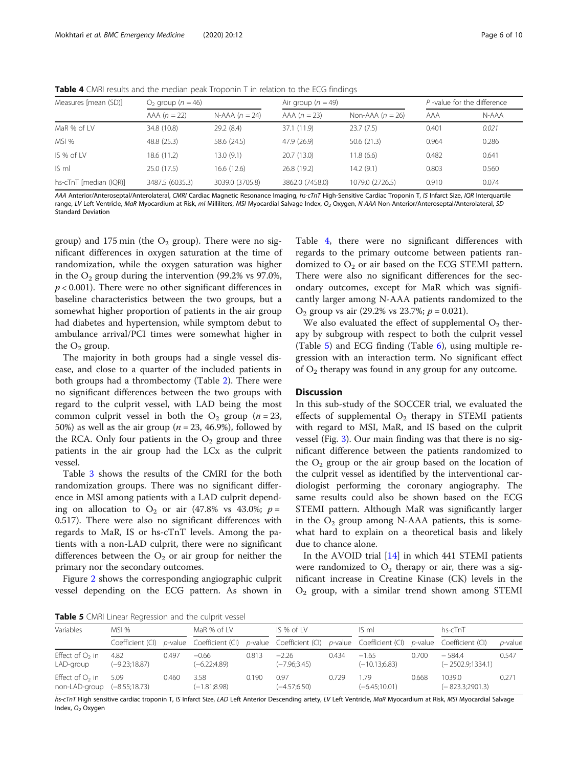**Table 4** CMRI results and the median peak Troponin T in relation to the ECG findings

| Measures [mean (SD)]   | $O2$ group ( $n = 46$ ) |                  | Air group ( $n = 49$ ) |                    |       | P-value for the difference |  |
|------------------------|-------------------------|------------------|------------------------|--------------------|-------|----------------------------|--|
|                        | $AAA (n = 22)$          | N-AAA $(n = 24)$ | $AAA (n = 23)$         | Non-AAA $(n = 26)$ | AAA   | N-AAA                      |  |
| MaR % of LV            | 34.8 (10.8)             | 29.2(8.4)        | 37.1 (11.9)            | 23.7(7.5)          | 0.401 | 0.021                      |  |
| MSI %                  | 48.8 (25.3)             | 58.6 (24.5)      | 47.9 (26.9)            | 50.6(21.3)         | 0.964 | 0.286                      |  |
| IS % of LV             | 18.6 (11.2)             | 13.0(9.1)        | 20.7 (13.0)            | 11.8(6.6)          | 0.482 | 0.641                      |  |
| IS <sub>m</sub>        | 25.0 (17.5)             | 16.6(12.6)       | 26.8 (19.2)            | 14.2(9.1)          | 0.803 | 0.560                      |  |
| hs-cTnT [median (IQR)] | 3487.5 (6035.3)         | 3039.0 (3705.8)  | 3862.0 (7458.0)        | 1079.0 (2726.5)    | 0.910 | 0.074                      |  |

AAA Anterior/Anteroseptal/Anterolateral, CMRI Cardiac Magnetic Resonance Imaging, hs-cTnT High-Sensitive Cardiac Troponin T, IS Infarct Size, IQR Interquartile range, LV Left Ventricle, MaR Myocardium at Risk, m/ Milliliters, MS/ Myocardial Salvage Index, O<sub>2</sub> Oxygen, N-AAA Non-Anterior/Anteroseptal/Anterolateral, SD Standard Deviation

group) and 175 min (the  $O_2$  group). There were no significant differences in oxygen saturation at the time of randomization, while the oxygen saturation was higher in the  $O_2$  group during the intervention (99.2% vs 97.0%,  $p < 0.001$ ). There were no other significant differences in baseline characteristics between the two groups, but a somewhat higher proportion of patients in the air group had diabetes and hypertension, while symptom debut to ambulance arrival/PCI times were somewhat higher in the  $O_2$  group.

The majority in both groups had a single vessel disease, and close to a quarter of the included patients in both groups had a thrombectomy (Table [2\)](#page-3-0). There were no significant differences between the two groups with regard to the culprit vessel, with LAD being the most common culprit vessel in both the  $O_2$  group (*n* = 23, 50%) as well as the air group ( $n = 23, 46.9$ %), followed by the RCA. Only four patients in the  $O<sub>2</sub>$  group and three patients in the air group had the LCx as the culprit vessel.

Table [3](#page-4-0) shows the results of the CMRI for the both randomization groups. There was no significant difference in MSI among patients with a LAD culprit depending on allocation to  $O_2$  or air (47.8% vs 43.0%;  $p =$ 0.517). There were also no significant differences with regards to MaR, IS or hs-cTnT levels. Among the patients with a non-LAD culprit, there were no significant differences between the  $O_2$  or air group for neither the primary nor the secondary outcomes.

Figure [2](#page-4-0) shows the corresponding angiographic culprit vessel depending on the ECG pattern. As shown in

Table 4, there were no significant differences with regards to the primary outcome between patients randomized to  $O_2$  or air based on the ECG STEMI pattern. There were also no significant differences for the secondary outcomes, except for MaR which was significantly larger among N-AAA patients randomized to the  $O_2$  group vs air (29.2% vs 23.7%;  $p = 0.021$ ).

We also evaluated the effect of supplemental  $O_2$  therapy by subgroup with respect to both the culprit vessel (Table 5) and ECG finding (Table [6](#page-6-0)), using multiple regression with an interaction term. No significant effect of  $O_2$  therapy was found in any group for any outcome.

## **Discussion**

In this sub-study of the SOCCER trial, we evaluated the effects of supplemental  $O_2$  therapy in STEMI patients with regard to MSI, MaR, and IS based on the culprit vessel (Fig. [3\)](#page-6-0). Our main finding was that there is no significant difference between the patients randomized to the  $O_2$  group or the air group based on the location of the culprit vessel as identified by the interventional cardiologist performing the coronary angiography. The same results could also be shown based on the ECG STEMI pattern. Although MaR was significantly larger in the  $O_2$  group among N-AAA patients, this is somewhat hard to explain on a theoretical basis and likely due to chance alone.

In the AVOID trial [[14](#page-8-0)] in which 441 STEMI patients were randomized to  $O_2$  therapy or air, there was a significant increase in Creatine Kinase (CK) levels in the  $O<sub>2</sub>$  group, with a similar trend shown among STEMI

Table 5 CMRI Linear Regression and the culprit vessel

| Variables                          | MSI %                   |       | MaR % of LV                                                                                                          |       | IS % of LV                 |       | IS ml                       |       | hs-cTnT                        |            |
|------------------------------------|-------------------------|-------|----------------------------------------------------------------------------------------------------------------------|-------|----------------------------|-------|-----------------------------|-------|--------------------------------|------------|
|                                    |                         |       | Coefficient (CI) p-value Coefficient (CI) p-value Coefficient (CI) p-value Coefficient (CI) p-value Coefficient (CI) |       |                            |       |                             |       |                                | $p$ -value |
| Effect of $O2$ in<br>LAD-group     | 4.82<br>$(-9.23;18.87)$ | 0.497 | $-0.66$<br>$(-6.22; 4.89)$                                                                                           | 0.813 | $-2.26$<br>$(-7.96; 3.45)$ | 0.434 | $-1.65$<br>$(-10.13; 6.83)$ | 0.700 | $-584.4$<br>$(-2502.9;1334.1)$ | 0.547      |
| Effect of $O2$ in<br>non-LAD-group | 5.09<br>$(-8.55;18.73)$ | 0.460 | 3.58<br>$(-1.81; 8.98)$                                                                                              | 0.190 | 0.97<br>$(-4.57; 6.50)$    | 0.729 | 1.79<br>$(-6.45;10.01)$     | 0.668 | 1039.0<br>$(-823.3;2901.3)$    | 0.271      |

hs-cTnT High sensitive cardiac troponin T, IS Infarct Size, LAD Left Anterior Descending artety, LV Left Ventricle, MaR Myocardium at Risk, MSI Myocardial Salvage Index, O<sub>2</sub> Oxygen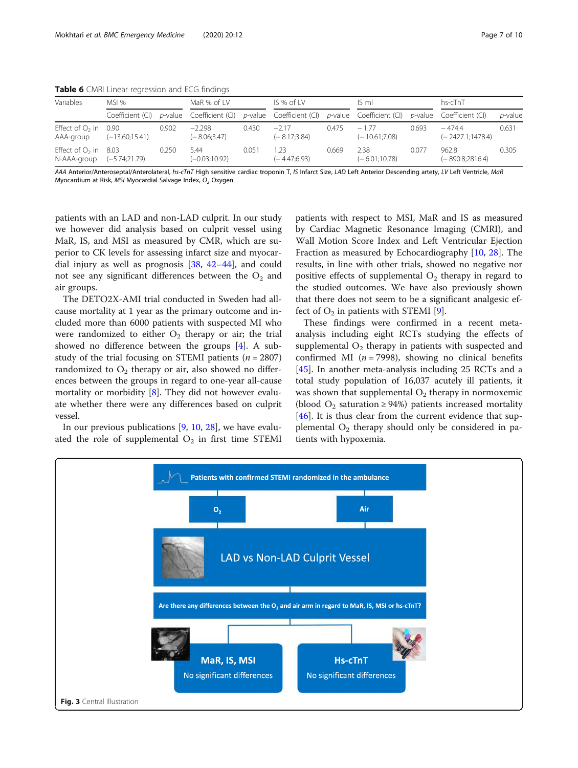| Variables                                           | MSI %            |       | MaR % of LV                                                                                                     |       | $IS%$ of $IV$            |       | IS ml                      |       | hs-cTnT                        |            |
|-----------------------------------------------------|------------------|-------|-----------------------------------------------------------------------------------------------------------------|-------|--------------------------|-------|----------------------------|-------|--------------------------------|------------|
|                                                     | Coefficient (CI) |       | $p$ -value Coefficient (CI) $p$ -value Coefficient (CI) $p$ -value Coefficient (CI) $p$ -value Coefficient (CI) |       |                          |       |                            |       |                                | $p$ -value |
| Effect of $O_2$ in 0.90<br>AAA-group                | $(-13.60;15.41)$ | 0.902 | $-2.298$<br>$(-8.06;3.47)$                                                                                      | 0.430 | $-217$<br>$(-8.17;3.84)$ | 0.475 | $-1.77$<br>$(-10.61:7.08)$ | 0.693 | $-474.4$<br>$(-2427.1:1478.4)$ | 0.631      |
| Effect of $O2$ in 8.03<br>N-AAA-group (-5.74;21.79) |                  | 0.250 | 5.44<br>$(-0.03;10.92)$                                                                                         | 0.051 | 1.23<br>$(-4.47:6.93)$   | 0.669 | 2.38<br>$(-6.01;10.78)$    | 0.077 | 962.8<br>$(-890.8;2816.4)$     | 0.305      |

<span id="page-6-0"></span>Table 6 CMRI Linear regression and ECG findings

AAA Anterior/Anteroseptal/Anterolateral, hs-cTnT High sensitive cardiac troponin T, IS Infarct Size, LAD Left Anterior Descending artety, LV Left Ventricle, MaR Myocardium at Risk, MSI Myocardial Salvage Index,  $O<sub>2</sub>$  Oxygen

patients with an LAD and non-LAD culprit. In our study we however did analysis based on culprit vessel using MaR, IS, and MSI as measured by CMR, which are superior to CK levels for assessing infarct size and myocardial injury as well as prognosis [[38,](#page-8-0) [42](#page-8-0)–[44\]](#page-8-0), and could not see any significant differences between the  $O<sub>2</sub>$  and air groups.

The DETO2X-AMI trial conducted in Sweden had allcause mortality at 1 year as the primary outcome and included more than 6000 patients with suspected MI who were randomized to either  $O_2$  therapy or air; the trial showed no difference between the groups [[4\]](#page-7-0). A substudy of the trial focusing on STEMI patients ( $n = 2807$ ) randomized to  $O_2$  therapy or air, also showed no differences between the groups in regard to one-year all-cause mortality or morbidity [\[8](#page-7-0)]. They did not however evaluate whether there were any differences based on culprit vessel.

In our previous publications [[9,](#page-7-0) [10,](#page-7-0) [28\]](#page-8-0), we have evaluated the role of supplemental  $O_2$  in first time STEMI

patients with respect to MSI, MaR and IS as measured by Cardiac Magnetic Resonance Imaging (CMRI), and Wall Motion Score Index and Left Ventricular Ejection Fraction as measured by Echocardiography [[10](#page-7-0), [28\]](#page-8-0). The results, in line with other trials, showed no negative nor positive effects of supplemental  $O_2$  therapy in regard to the studied outcomes. We have also previously shown that there does not seem to be a significant analgesic effect of  $O_2$  in patients with STEMI [\[9\]](#page-7-0).

These findings were confirmed in a recent metaanalysis including eight RCTs studying the effects of supplemental  $O_2$  therapy in patients with suspected and confirmed MI ( $n = 7998$ ), showing no clinical benefits [[45\]](#page-9-0). In another meta-analysis including 25 RCTs and a total study population of 16,037 acutely ill patients, it was shown that supplemental  $O_2$  therapy in normoxemic (blood  $O_2$  saturation ≥ 94%) patients increased mortality [[46\]](#page-9-0). It is thus clear from the current evidence that supplemental  $O_2$  therapy should only be considered in patients with hypoxemia.

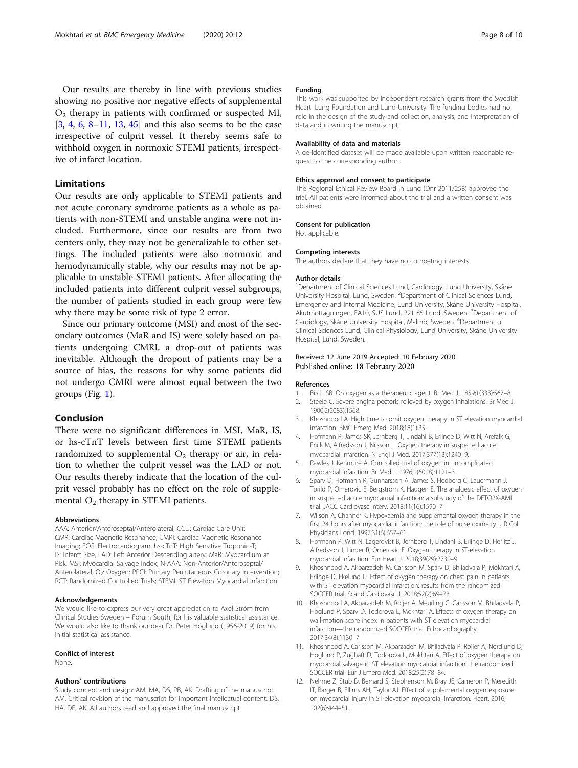<span id="page-7-0"></span>Our results are thereby in line with previous studies showing no positive nor negative effects of supplemental  $\mathrm{O}_2$  therapy in patients with confirmed or suspected MI, [3, 4, 6, 8–11, [13](#page-8-0), [45](#page-9-0)] and this also seems to be the case irrespective of culprit vessel. It thereby seems safe to withhold oxygen in normoxic STEMI patients, irrespective of infarct location.

## Limitations

Our results are only applicable to STEMI patients and not acute coronary syndrome patients as a whole as patients with non-STEMI and unstable angina were not included. Furthermore, since our results are from two centers only, they may not be generalizable to other settings. The included patients were also normoxic and hemodynamically stable, why our results may not be applicable to unstable STEMI patients. After allocating the included patients into different culprit vessel subgroups, the number of patients studied in each group were few why there may be some risk of type 2 error.

Since our primary outcome (MSI) and most of the secondary outcomes (MaR and IS) were solely based on patients undergoing CMRI, a drop-out of patients was inevitable. Although the dropout of patients may be a source of bias, the reasons for why some patients did not undergo CMRI were almost equal between the two groups (Fig. [1\)](#page-2-0).

## Conclusion

There were no significant differences in MSI, MaR, IS, or hs-cTnT levels between first time STEMI patients randomized to supplemental  $\mathrm{O}_2$  therapy or air, in relation to whether the culprit vessel was the LAD or not. Our results thereby indicate that the location of the culprit vessel probably has no effect on the role of supplemental  $\mathrm{O}_2$  therapy in STEMI patients.

#### Abbreviations

AAA: Anterior/Anteroseptal/Anterolateral; CCU: Cardiac Care Unit; CMR: Cardiac Magnetic Resonance; CMRI: Cardiac Magnetic Resonance Imaging; ECG: Electrocardiogram; hs-cTnT: High Sensitive Troponin-T; IS: Infarct Size; LAD: Left Anterior Descending artery; MaR: Myocardium at Risk; MSI: Myocardial Salvage Index; N-AAA: Non-Anterior/Anteroseptal/ Anterolateral; O<sub>2</sub>: Oxygen; PPCI: Primary Percutaneous Coronary Intervention; RCT: Randomized Controlled Trials; STEMI: ST Elevation Myocardial Infarction

#### Acknowledgements

We would like to express our very great appreciation to Axel Ström from Clinical Studies Sweden – Forum South, for his valuable statistical assistance. We would also like to thank our dear Dr. Peter Höglund (1956-2019) for his initial statistical assistance.

#### Conflict of interest

None.

#### Authors' contributions

Study concept and design: AM, MA, DS, PB, AK. Drafting of the manuscript: AM. Critical revision of the manuscript for important intellectual content: DS, HA, DE, AK. All authors read and approved the final manuscript.

#### Funding

This work was supported by independent research grants from the Swedish Heart–Lung Foundation and Lund University. The funding bodies had no role in the design of the study and collection, analysis, and interpretation of data and in writing the manuscript.

#### Availability of data and materials

A de-identified dataset will be made available upon written reasonable request to the corresponding author.

#### Ethics approval and consent to participate

The Regional Ethical Review Board in Lund (Dnr 2011/258) approved the trial. All patients were informed about the trial and a written consent was obtained.

#### Consent for publication

Not applicable.

#### Competing interests

The authors declare that they have no competing interests.

#### Author details

<sup>1</sup>Department of Clinical Sciences Lund, Cardiology, Lund University, Skåne University Hospital, Lund, Sweden. <sup>2</sup>Department of Clinical Sciences Lund, Emergency and Internal Medicine, Lund University, Skåne University Hospital, Akutmottagningen, EA10, SUS Lund, 221 85 Lund, Sweden. <sup>3</sup>Department of Cardiology, Skåne University Hospital, Malmö, Sweden. <sup>4</sup>Department of Clinical Sciences Lund, Clinical Physiology, Lund University, Skåne University Hospital, Lund, Sweden.

#### Received: 12 June 2019 Accepted: 10 February 2020 Published online: 18 February 2020

#### References

- 1. Birch SB. On oxygen as a therapeutic agent. Br Med J. 1859;1(333):567–8.
- 2. Steele C. Severe angina pectoris relieved by oxygen inhalations. Br Med J. 1900;2(2083):1568.
- 3. Khoshnood A. High time to omit oxygen therapy in ST elevation myocardial infarction. BMC Emerg Med. 2018;18(1):35.
- 4. Hofmann R, James SK, Jernberg T, Lindahl B, Erlinge D, Witt N, Arefalk G, Frick M, Alfredsson J, Nilsson L. Oxygen therapy in suspected acute myocardial infarction. N Engl J Med. 2017;377(13):1240–9.
- 5. Rawles J, Kenmure A. Controlled trial of oxygen in uncomplicated myocardial infarction. Br Med J. 1976;1(6018):1121–3.
- 6. Sparv D, Hofmann R, Gunnarsson A, James S, Hedberg C, Lauermann J, Torild P, Omerovic E, Bergström K, Haugen E. The analgesic effect of oxygen in suspected acute myocardial infarction: a substudy of the DETO2X-AMI trial. JACC Cardiovasc Interv. 2018;11(16):1590–7.
- 7. Wilson A, Channer K. Hypoxaemia and supplemental oxygen therapy in the first 24 hours after myocardial infarction: the role of pulse oximetry. J R Coll Physicians Lond. 1997;31(6):657–61.
- 8. Hofmann R, Witt N, Lagerqvist B, Jernberg T, Lindahl B, Erlinge D, Herlitz J, Alfredsson J, Linder R, Omerovic E. Oxygen therapy in ST-elevation myocardial infarction. Eur Heart J. 2018;39(29):2730–9.
- 9. Khoshnood A, Akbarzadeh M, Carlsson M, Sparv D, Bhiladvala P, Mokhtari A, Erlinge D, Ekelund U. Effect of oxygen therapy on chest pain in patients with ST elevation myocardial infarction: results from the randomized SOCCER trial. Scand Cardiovasc J. 2018;52(2):69–73.
- 10. Khoshnood A, Akbarzadeh M, Roijer A, Meurling C, Carlsson M, Bhiladvala P, Höglund P, Sparv D, Todorova L, Mokhtari A. Effects of oxygen therapy on wall-motion score index in patients with ST elevation myocardial infarction—the randomized SOCCER trial. Echocardiography. 2017;34(8):1130–7.
- 11. Khoshnood A, Carlsson M, Akbarzadeh M, Bhiladvala P, Roijer A, Nordlund D, Höglund P, Zughaft D, Todorova L, Mokhtari A. Effect of oxygen therapy on myocardial salvage in ST elevation myocardial infarction: the randomized SOCCER trial. Eur J Emerg Med. 2018;25(2):78–84.
- 12. Nehme Z, Stub D, Bernard S, Stephenson M, Bray JE, Cameron P, Meredith IT, Barger B, Ellims AH, Taylor AJ. Effect of supplemental oxygen exposure on myocardial injury in ST-elevation myocardial infarction. Heart. 2016; 102(6):444–51.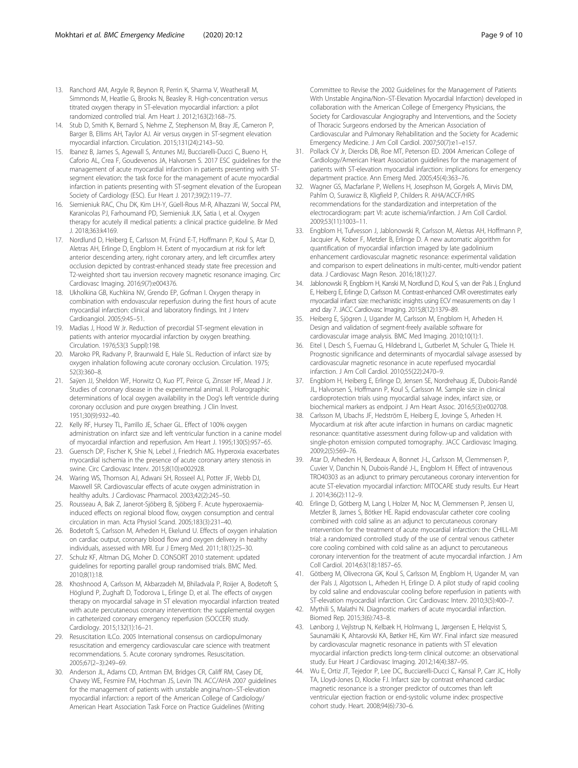- <span id="page-8-0"></span>13. Ranchord AM, Argyle R, Beynon R, Perrin K, Sharma V, Weatherall M, Simmonds M, Heatlie G, Brooks N, Beasley R. High-concentration versus titrated oxygen therapy in ST-elevation myocardial infarction: a pilot randomized controlled trial. Am Heart J. 2012;163(2):168–75.
- 14. Stub D, Smith K, Bernard S, Nehme Z, Stephenson M, Bray JE, Cameron P, Barger B, Ellims AH, Taylor AJ. Air versus oxygen in ST-segment elevation myocardial infarction. Circulation. 2015;131(24):2143–50.
- 15. Ibanez B, James S, Agewall S, Antunes MJ, Bucciarelli-Ducci C, Bueno H, Caforio AL, Crea F, Goudevenos JA, Halvorsen S. 2017 ESC guidelines for the management of acute myocardial infarction in patients presenting with STsegment elevation: the task force for the management of acute myocardial infarction in patients presenting with ST-segment elevation of the European Society of Cardiology (ESC). Eur Heart J. 2017;39(2):119–77.
- 16. Siemieniuk RAC, Chu DK, Kim LH-Y, Güell-Rous M-R, Alhazzani W, Soccal PM, Karanicolas PJ, Farhoumand PD, Siemieniuk JLK, Satia I, et al. Oxygen therapy for acutely ill medical patients: a clinical practice guideline. Br Med J. 2018;363:k4169.
- 17. Nordlund D, Heiberg E, Carlsson M, Fründ E-T, Hoffmann P, Koul S, Atar D, Aletras AH, Erlinge D, Engblom H. Extent of myocardium at risk for left anterior descending artery, right coronary artery, and left circumflex artery occlusion depicted by contrast-enhanced steady state free precession and T2-weighted short tau inversion recovery magnetic resonance imaging. Circ Cardiovasc Imaging. 2016;9(7):e004376.
- 18. Ukholkina GB, Kuchkina NV, Grendo EP, Gofman I. Oxygen therapy in combination with endovascular reperfusion during the first hours of acute myocardial infarction: clinical and laboratory findings. Int J Interv Cardioangiol. 2005;9:45–51.
- 19. Madias J, Hood W Jr. Reduction of precordial ST-segment elevation in patients with anterior myocardial infarction by oxygen breathing. Circulation. 1976;53(3 Suppl):198.
- 20. Maroko PR, Radvany P, Braunwald E, Hale SL. Reduction of infarct size by oxygen inhalation following acute coronary occlusion. Circulation. 1975; 52(3):360–8.
- 21. Saÿen JJ, Sheldon WF, Horwitz O, Kuo PT, Peirce G, Zinsser HF, Mead J Jr. Studies of coronary disease in the experimental animal. II. Polarographic determinations of local oxygen availability in the Dog's left ventricle during coronary occlusion and pure oxygen breathing. J Clin Invest. 1951;30(9):932–40.
- 22. Kelly RF, Hursey TL, Parrillo JE, Schaer GL. Effect of 100% oxygen administration on infarct size and left ventricular function in a canine model of myocardial infarction and reperfusion. Am Heart J. 1995;130(5):957–65.
- 23. Guensch DP, Fischer K, Shie N, Lebel J, Friedrich MG. Hyperoxia exacerbates myocardial ischemia in the presence of acute coronary artery stenosis in swine. Circ Cardiovasc Interv. 2015;8(10):e002928.
- 24. Waring WS, Thomson AJ, Adwani SH, Rosseel AJ, Potter JF, Webb DJ, Maxwell SR. Cardiovascular effects of acute oxygen administration in healthy adults. J Cardiovasc Pharmacol. 2003;42(2):245–50.
- 25. Rousseau A, Bak Z, Janerot-Sjöberg B, Sjöberg F. Acute hyperoxaemiainduced effects on regional blood flow, oxygen consumption and central circulation in man. Acta Physiol Scand. 2005;183(3):231–40.
- 26. Bodetoft S, Carlsson M, Arheden H, Ekelund U. Effects of oxygen inhalation on cardiac output, coronary blood flow and oxygen delivery in healthy individuals, assessed with MRI. Eur J Emerg Med. 2011;18(1):25–30.
- 27. Schulz KF, Altman DG, Moher D. CONSORT 2010 statement: updated guidelines for reporting parallel group randomised trials. BMC Med. 2010;8(1):18.
- 28. Khoshnood A, Carlsson M, Akbarzadeh M, Bhiladvala P, Roijer A, Bodetoft S, Höglund P, Zughaft D, Todorova L, Erlinge D, et al. The effects of oxygen therapy on myocardial salvage in ST elevation myocardial infarction treated with acute percutaneous coronary intervention: the supplemental oxygen in catheterized coronary emergency reperfusion (SOCCER) study. Cardiology. 2015;132(1):16–21.
- 29. Resuscitation ILCo. 2005 International consensus on cardiopulmonary resuscitation and emergency cardiovascular care science with treatment recommendations. 5. Acute coronary syndromes. Resuscitation. 2005;67(2–3):249–69.
- 30. Anderson JL, Adams CD, Antman EM, Bridges CR, Califf RM, Casey DE, Chavey WE, Fesmire FM, Hochman JS, Levin TN. ACC/AHA 2007 guidelines for the management of patients with unstable angina/non–ST-elevation myocardial infarction: a report of the American College of Cardiology/ American Heart Association Task Force on Practice Guidelines (Writing

Committee to Revise the 2002 Guidelines for the Management of Patients With Unstable Angina/Non–ST-Elevation Myocardial Infarction) developed in collaboration with the American College of Emergency Physicians, the Society for Cardiovascular Angiography and Interventions, and the Society of Thoracic Surgeons endorsed by the American Association of Cardiovascular and Pulmonary Rehabilitation and the Society for Academic Emergency Medicine. J Am Coll Cardiol. 2007;50(7):e1–e157.

- 31. Pollack CV Jr, Diercks DB, Roe MT, Peterson ED. 2004 American College of Cardiology/American Heart Association guidelines for the management of patients with ST-elevation myocardial infarction: implications for emergency department practice. Ann Emerg Med. 2005;45(4):363–76.
- 32. Wagner GS, Macfarlane P, Wellens H, Josephson M, Gorgels A, Mirvis DM, Pahlm O, Surawicz B, Kligfield P, Childers R. AHA/ACCF/HRS recommendations for the standardization and interpretation of the electrocardiogram: part VI: acute ischemia/infarction. J Am Coll Cardiol. 2009;53(11):1003–11.
- 33. Engblom H, Tufvesson J, Jablonowski R, Carlsson M, Aletras AH, Hoffmann P, Jacquier A, Kober F, Metzler B, Erlinge D. A new automatic algorithm for quantification of myocardial infarction imaged by late gadolinium enhancement cardiovascular magnetic resonance: experimental validation and comparison to expert delineations in multi-center, multi-vendor patient data. J Cardiovasc Magn Reson. 2016;18(1):27.
- 34. Jablonowski R, Engblom H, Kanski M, Nordlund D, Koul S, van der Pals J, Englund E, Heiberg E, Erlinge D, Carlsson M. Contrast-enhanced CMR overestimates early myocardial infarct size: mechanistic insights using ECV measurements on day 1 and day 7. JACC Cardiovasc Imaging. 2015;8(12):1379–89.
- 35. Heiberg E, Sjögren J, Ugander M, Carlsson M, Engblom H, Arheden H. Design and validation of segment-freely available software for cardiovascular image analysis. BMC Med Imaging. 2010;10(1):1.
- 36. Eitel I, Desch S, Fuernau G, Hildebrand L, Gutberlet M, Schuler G, Thiele H. Prognostic significance and determinants of myocardial salvage assessed by cardiovascular magnetic resonance in acute reperfused myocardial infarction. J Am Coll Cardiol. 2010;55(22):2470–9.
- 37. Engblom H, Heiberg E, Erlinge D, Jensen SE, Nordrehaug JE, Dubois-Randé JL, Halvorsen S, Hoffmann P, Koul S, Carlsson M. Sample size in clinical cardioprotection trials using myocardial salvage index, infarct size, or biochemical markers as endpoint. J Am Heart Assoc. 2016;5(3):e002708.
- 38. Carlsson M, Ubachs JF, Hedström E, Heiberg E, Jovinge S, Arheden H. Myocardium at risk after acute infarction in humans on cardiac magnetic resonance: quantitative assessment during follow-up and validation with single-photon emission computed tomography. JACC Cardiovasc Imaging. 2009;2(5):569–76.
- 39. Atar D, Arheden H, Berdeaux A, Bonnet J-L, Carlsson M, Clemmensen P, Cuvier V, Danchin N, Dubois-Randé J-L, Engblom H. Effect of intravenous TRO40303 as an adjunct to primary percutaneous coronary intervention for acute ST-elevation myocardial infarction: MITOCARE study results. Eur Heart J. 2014;36(2):112–9.
- 40. Erlinge D, Götberg M, Lang I, Holzer M, Noc M, Clemmensen P, Jensen U, Metzler B, James S, Bötker HE. Rapid endovascular catheter core cooling combined with cold saline as an adjunct to percutaneous coronary intervention for the treatment of acute myocardial infarction: the CHILL-MI trial: a randomized controlled study of the use of central venous catheter core cooling combined with cold saline as an adjunct to percutaneous coronary intervention for the treatment of acute myocardial infarction. J Am Coll Cardiol. 2014;63(18):1857–65.
- 41. Götberg M, Olivecrona GK, Koul S, Carlsson M, Engblom H, Ugander M, van der Pals J, Algotsson L, Arheden H, Erlinge D. A pilot study of rapid cooling by cold saline and endovascular cooling before reperfusion in patients with ST-elevation myocardial infarction. Circ Cardiovasc Interv. 2010;3(5):400–7.
- 42. Mythili S, Malathi N. Diagnostic markers of acute myocardial infarction. Biomed Rep. 2015;3(6):743–8.
- 43. Lønborg J, Vejlstrup N, Kelbæk H, Holmvang L, Jørgensen E, Helqvist S, Saunamäki K, Ahtarovski KA, Bøtker HE, Kim WY. Final infarct size measured by cardiovascular magnetic resonance in patients with ST elevation myocardial infarction predicts long-term clinical outcome: an observational study. Eur Heart J Cardiovasc Imaging. 2012;14(4):387–95.
- 44. Wu E, Ortiz JT, Tejedor P, Lee DC, Bucciarelli-Ducci C, Kansal P, Carr JC, Holly TA, Lloyd-Jones D, Klocke FJ. Infarct size by contrast enhanced cardiac magnetic resonance is a stronger predictor of outcomes than left ventricular ejection fraction or end-systolic volume index: prospective cohort study. Heart. 2008;94(6):730–6.